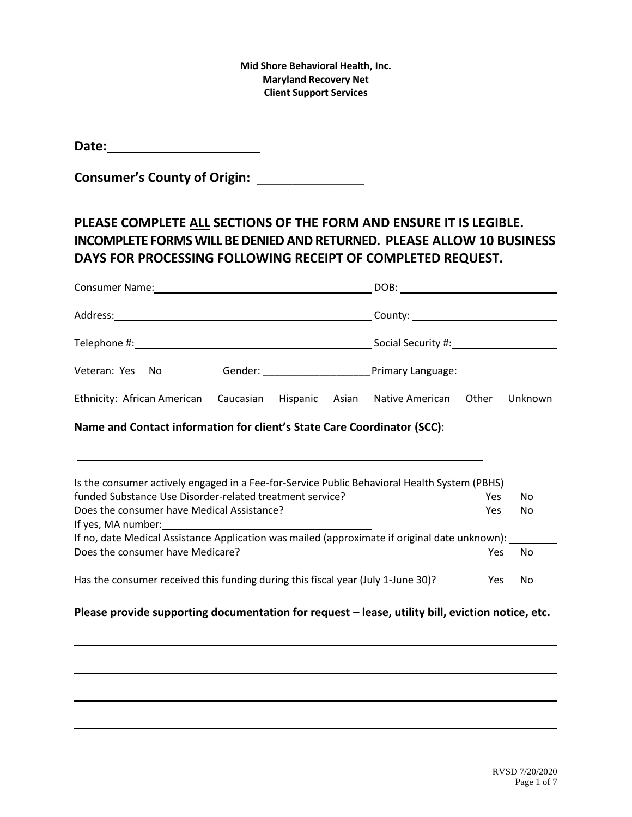| Date: |  |
|-------|--|
|       |  |

**Consumer's County of Origin:** \_\_\_\_\_\_\_\_\_\_\_\_\_\_\_

# **PLEASE COMPLETE ALL SECTIONS OF THE FORM AND ENSURE IT IS LEGIBLE. INCOMPLETE FORMS WILL BE DENIED AND RETURNED. PLEASE ALLOW 10 BUSINESS DAYS FOR PROCESSING FOLLOWING RECEIPT OF COMPLETED REQUEST.**

| Veteran: Yes No                                                            |  |  |  |  |  |         |
|----------------------------------------------------------------------------|--|--|--|--|--|---------|
| Ethnicity: African American Caucasian Hispanic Asian Native American Other |  |  |  |  |  | Unknown |

### **Name and Contact information for client's State Care Coordinator (SCC)**:

| Is the consumer actively engaged in a Fee-for-Service Public Behavioral Health System (PBHS)  |            |    |
|-----------------------------------------------------------------------------------------------|------------|----|
| funded Substance Use Disorder-related treatment service?                                      | Yes        | No |
| Does the consumer have Medical Assistance?                                                    | Yes        | No |
| If yes, MA number:                                                                            |            |    |
| If no, date Medical Assistance Application was mailed (approximate if original date unknown): |            |    |
| Does the consumer have Medicare?                                                              | Yes        | No |
|                                                                                               |            |    |
| Has the consumer received this funding during this fiscal year (July 1-June 30)?              | <b>Yes</b> | No |

## Please provide supporting documentation for request – lease, utility bill, eviction notice, etc.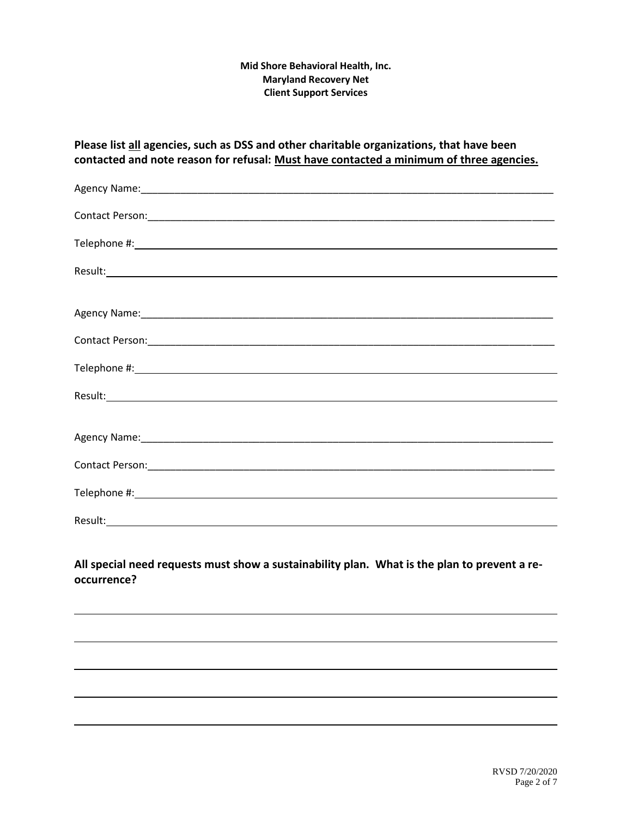| Please list all agencies, such as DSS and other charitable organizations, that have been<br>contacted and note reason for refusal: Must have contacted a minimum of three agencies.                                            |
|--------------------------------------------------------------------------------------------------------------------------------------------------------------------------------------------------------------------------------|
|                                                                                                                                                                                                                                |
|                                                                                                                                                                                                                                |
|                                                                                                                                                                                                                                |
|                                                                                                                                                                                                                                |
| Agency Name: 1988 and 2008 and 2008 and 2008 and 2008 and 2008 and 2008 and 2008 and 2008 and 2008 and 2008 and 2008 and 2008 and 2008 and 2008 and 2008 and 2008 and 2008 and 2008 and 2008 and 2008 and 2008 and 2008 and 20 |
|                                                                                                                                                                                                                                |
|                                                                                                                                                                                                                                |
|                                                                                                                                                                                                                                |
|                                                                                                                                                                                                                                |
|                                                                                                                                                                                                                                |
|                                                                                                                                                                                                                                |
|                                                                                                                                                                                                                                |
|                                                                                                                                                                                                                                |

## **All special need requests must show a sustainability plan. What is the plan to prevent a reoccurrence?**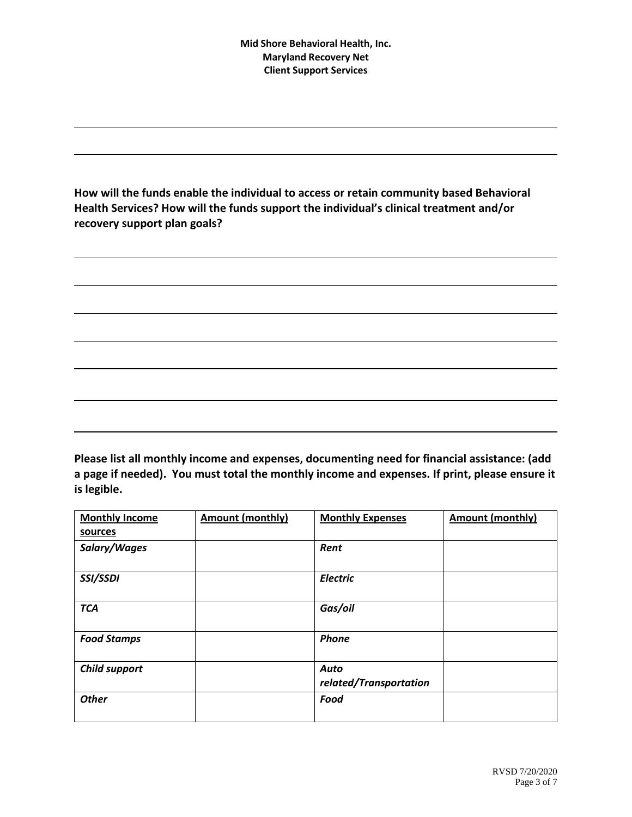**How will the funds enable the individual to access or retain community based Behavioral Health Services? How will the funds support the individual's clinical treatment and/or recovery support plan goals?**

**Please list all monthly income and expenses, documenting need for financial assistance: (add a page if needed). You must total the monthly income and expenses. If print, please ensure it is legible.**

| <b>Monthly Income</b> | <b>Amount (monthly)</b> | <b>Monthly Expenses</b>        | <b>Amount (monthly)</b> |
|-----------------------|-------------------------|--------------------------------|-------------------------|
| sources               |                         |                                |                         |
| Salary/Wages          |                         | Rent                           |                         |
| SSI/SSDI              |                         | <b>Electric</b>                |                         |
| <b>TCA</b>            |                         | Gas/oil                        |                         |
| <b>Food Stamps</b>    |                         | Phone                          |                         |
| <b>Child support</b>  |                         | Auto<br>related/Transportation |                         |
| <b>Other</b>          |                         | Food                           |                         |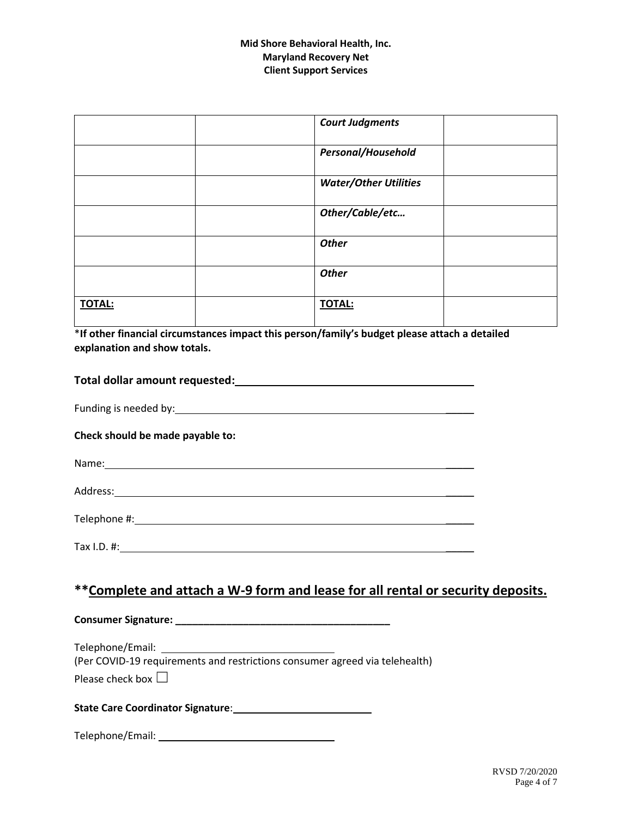|               | <b>Court Judgments</b>       |  |
|---------------|------------------------------|--|
|               | Personal/Household           |  |
|               | <b>Water/Other Utilities</b> |  |
|               | Other/Cable/etc              |  |
|               | <b>Other</b>                 |  |
|               | <b>Other</b>                 |  |
| <b>TOTAL:</b> | <b>TOTAL:</b>                |  |

\***If other financial circumstances impact this person/family's budget please attach a detailed explanation and show totals.**

| Total dollar amount requested: |  |
|--------------------------------|--|
|                                |  |

Funding is needed by:  $\blacksquare$ 

**Check should be made payable to:**

| Name: |  |
|-------|--|
|       |  |

Address: \_\_\_\_\_

Telephone #: \_\_\_\_\_

Tax I.D. #: \_\_\_\_\_

## **\*\*Complete and attach a W-9 form and lease for all rental or security deposits.**

**Consumer Signature: \_\_\_\_\_\_\_\_\_\_\_\_\_\_\_\_\_\_\_\_\_\_\_\_\_\_\_\_\_\_\_\_\_\_\_\_\_\_**

Telephone/Email: (Per COVID-19 requirements and restrictions consumer agreed via telehealth) Please check box  $\Box$ 

**State Care Coordinator Signature**:

Telephone/Email: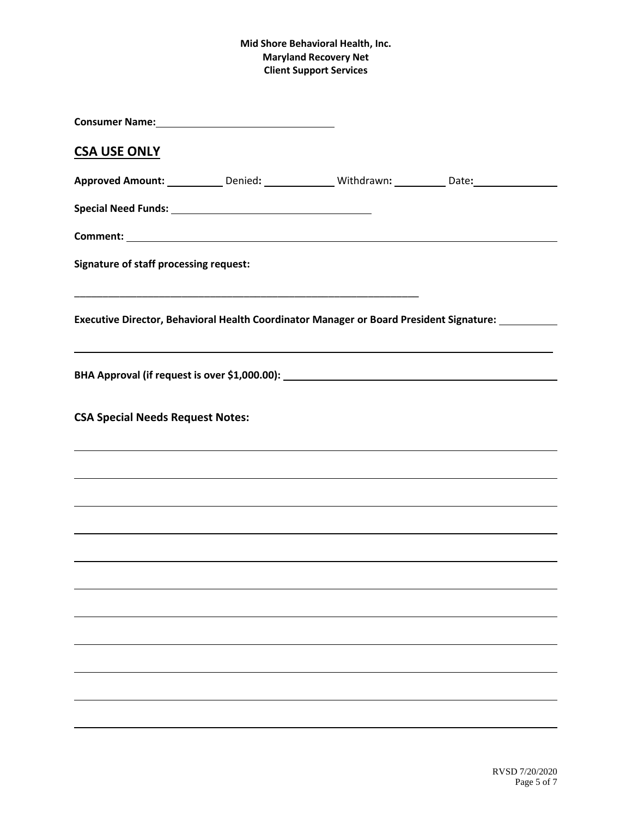| Consumer Name: Mannel Mannel Mannel Mannel Mannel Mannel Mannel Mannel Mannel Mannel Mannel Mannel Mannel Manne |                                                                                                                                                                                                                                 |                                                                                                      |
|-----------------------------------------------------------------------------------------------------------------|---------------------------------------------------------------------------------------------------------------------------------------------------------------------------------------------------------------------------------|------------------------------------------------------------------------------------------------------|
| <b>CSA USE ONLY</b>                                                                                             |                                                                                                                                                                                                                                 |                                                                                                      |
|                                                                                                                 |                                                                                                                                                                                                                                 | Approved Amount: ____________Denied: _______________Withdrawn: ___________Date: ____________________ |
|                                                                                                                 |                                                                                                                                                                                                                                 |                                                                                                      |
|                                                                                                                 |                                                                                                                                                                                                                                 |                                                                                                      |
| <b>Signature of staff processing request:</b>                                                                   |                                                                                                                                                                                                                                 |                                                                                                      |
|                                                                                                                 |                                                                                                                                                                                                                                 | Executive Director, Behavioral Health Coordinator Manager or Board President Signature: 1888         |
|                                                                                                                 | BHA Approval (if request is over \$1,000.00): \\esp \\esp \\esp \\esp \\esp \\esp \\esp \\esp \\esp \\esp \\esp \\esp \\esp \\esp \\esp \\esp \\esp \\esp \\esp \\esp \\esp \\esp \\esp \\esp \\esp \\esp \\esp \\esp \\esp \\e |                                                                                                      |
| <b>CSA Special Needs Request Notes:</b>                                                                         |                                                                                                                                                                                                                                 |                                                                                                      |
|                                                                                                                 |                                                                                                                                                                                                                                 |                                                                                                      |
|                                                                                                                 |                                                                                                                                                                                                                                 |                                                                                                      |
|                                                                                                                 |                                                                                                                                                                                                                                 |                                                                                                      |
|                                                                                                                 |                                                                                                                                                                                                                                 |                                                                                                      |
|                                                                                                                 |                                                                                                                                                                                                                                 |                                                                                                      |
|                                                                                                                 |                                                                                                                                                                                                                                 |                                                                                                      |
|                                                                                                                 |                                                                                                                                                                                                                                 |                                                                                                      |
|                                                                                                                 |                                                                                                                                                                                                                                 |                                                                                                      |
|                                                                                                                 |                                                                                                                                                                                                                                 |                                                                                                      |
|                                                                                                                 |                                                                                                                                                                                                                                 |                                                                                                      |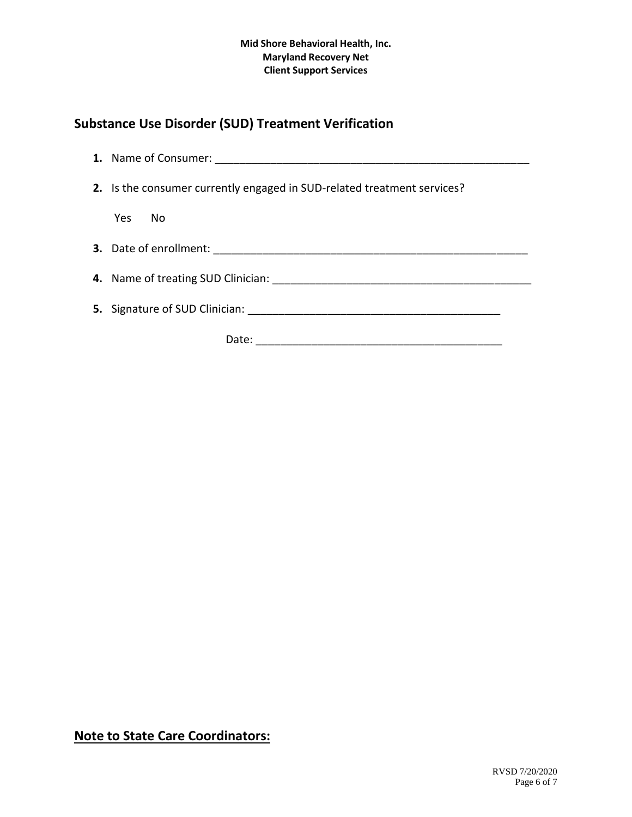# **Substance Use Disorder (SUD) Treatment Verification**

| 2. Is the consumer currently engaged in SUD-related treatment services? |  |  |
|-------------------------------------------------------------------------|--|--|
| Yes<br>- No                                                             |  |  |
|                                                                         |  |  |
|                                                                         |  |  |
|                                                                         |  |  |
| Date:                                                                   |  |  |

**Note to State Care Coordinators:**